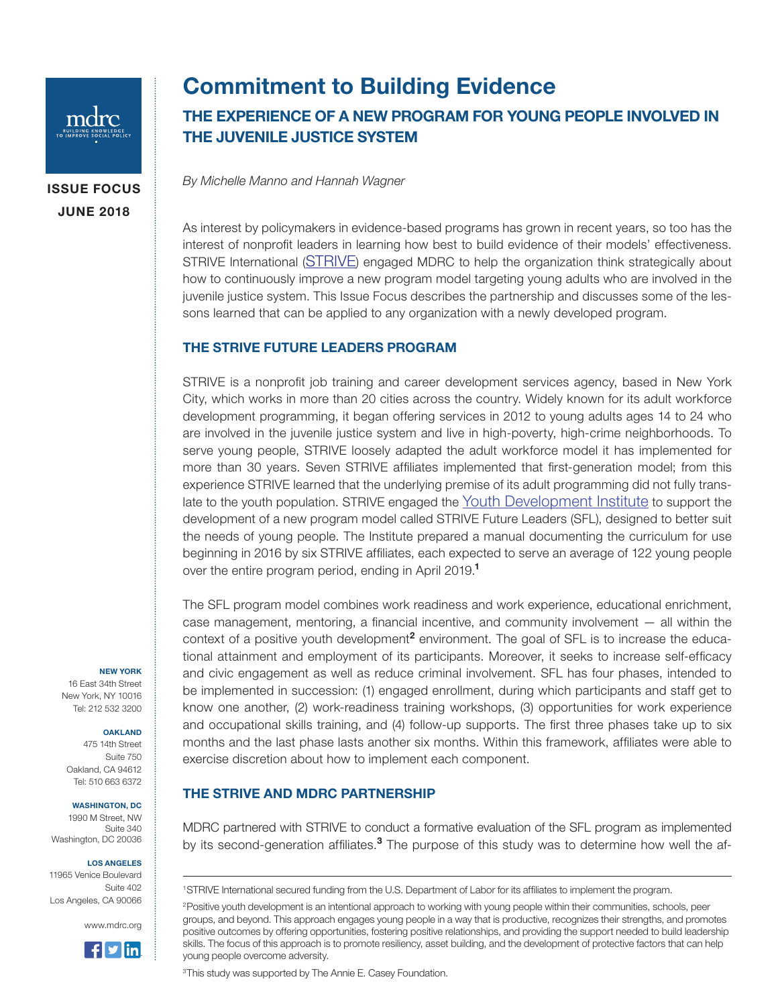

ISSUE FOCUS JUNE 2018

# Commitment to Building Evidence

## THE EXPERIENCE OF A NEW PROGRAM FOR YOUNG PEOPLE INVOLVED IN THE JUVENILE JUSTICE SYSTEM

*By Michelle Manno and Hannah Wagner*

As interest by policymakers in evidence-based programs has grown in recent years, so too has the interest of nonprofit leaders in learning how best to build evidence of their models' effectiveness. STRIVE International ([STRIVE](https://www.striveinternational.org/)) engaged MDRC to help the organization think strategically about how to continuously improve a new program model targeting young adults who are involved in the juvenile justice system. This Issue Focus describes the partnership and discusses some of the lessons learned that can be applied to any organization with a newly developed program.

## THE STRIVE FUTURE LEADERS PROGRAM

STRIVE is a nonprofit job training and career development services agency, based in New York City, which works in more than 20 cities across the country. Widely known for its adult workforce development programming, it began offering services in 2012 to young adults ages 14 to 24 who are involved in the juvenile justice system and live in high-poverty, high-crime neighborhoods. To serve young people, STRIVE loosely adapted the adult workforce model it has implemented for more than 30 years. Seven STRIVE affiliates implemented that first-generation model; from this experience STRIVE learned that the underlying premise of its adult programming did not fully translate to the youth population. STRIVE engaged the [Youth Development Institute](http://www.ydinstitute.org/) to support the development of a new program model called STRIVE Future Leaders (SFL), designed to better suit the needs of young people. The Institute prepared a manual documenting the curriculum for use beginning in 2016 by six STRIVE affiliates, each expected to serve an average of 122 young people over the entire program period, ending in April 2019.<sup>1</sup>

The SFL program model combines work readiness and work experience, educational enrichment, case management, mentoring, a financial incentive, and community involvement — all within the context of a positive youth development<sup>2</sup> environment. The goal of SFL is to increase the educational attainment and employment of its participants. Moreover, it seeks to increase self-efficacy and civic engagement as well as reduce criminal involvement. SFL has four phases, intended to be implemented in succession: (1) engaged enrollment, during which participants and staff get to know one another, (2) work-readiness training workshops, (3) opportunities for work experience and occupational skills training, and (4) follow-up supports. The first three phases take up to six months and the last phase lasts another six months. Within this framework, affiliates were able to exercise discretion about how to implement each component.

## THE STRIVE AND MDRC PARTNERSHIP

MDRC partnered with STRIVE to conduct a formative evaluation of the SFL program as implemented by its second-generation affiliates.<sup>3</sup> The purpose of this study was to determine how well the af-

<sup>3</sup>This study was supported by The Annie E. Casey Foundation.

#### NEW YORK

16 East 34th Street New York, NY 10016 Tel: 212 532 3200

#### OAKLAND

475 14th Street Suite 750 Oakland, CA 94612 Tel: 510 663 6372

#### WASHINGTON, DC

1990 M Street, NW Suite 340 Washington, DC 20036

#### LOS ANGELES

11965 Venice Boulevard Suite 402 Los Angeles, CA 90066





<sup>1</sup>STRIVE International secured funding from the U.S. Department of Labor for its affiliates to implement the program.

<sup>&</sup>lt;sup>2</sup>Positive youth development is an intentional approach to working with young people within their communities, schools, peer groups, and beyond. This approach engages young people in a way that is productive, recognizes their strengths, and promotes positive outcomes by offering opportunities, fostering positive relationships, and providing the support needed to build leadership skills. The focus of this approach is to promote resiliency, asset building, and the development of protective factors that can help young people overcome adversity.